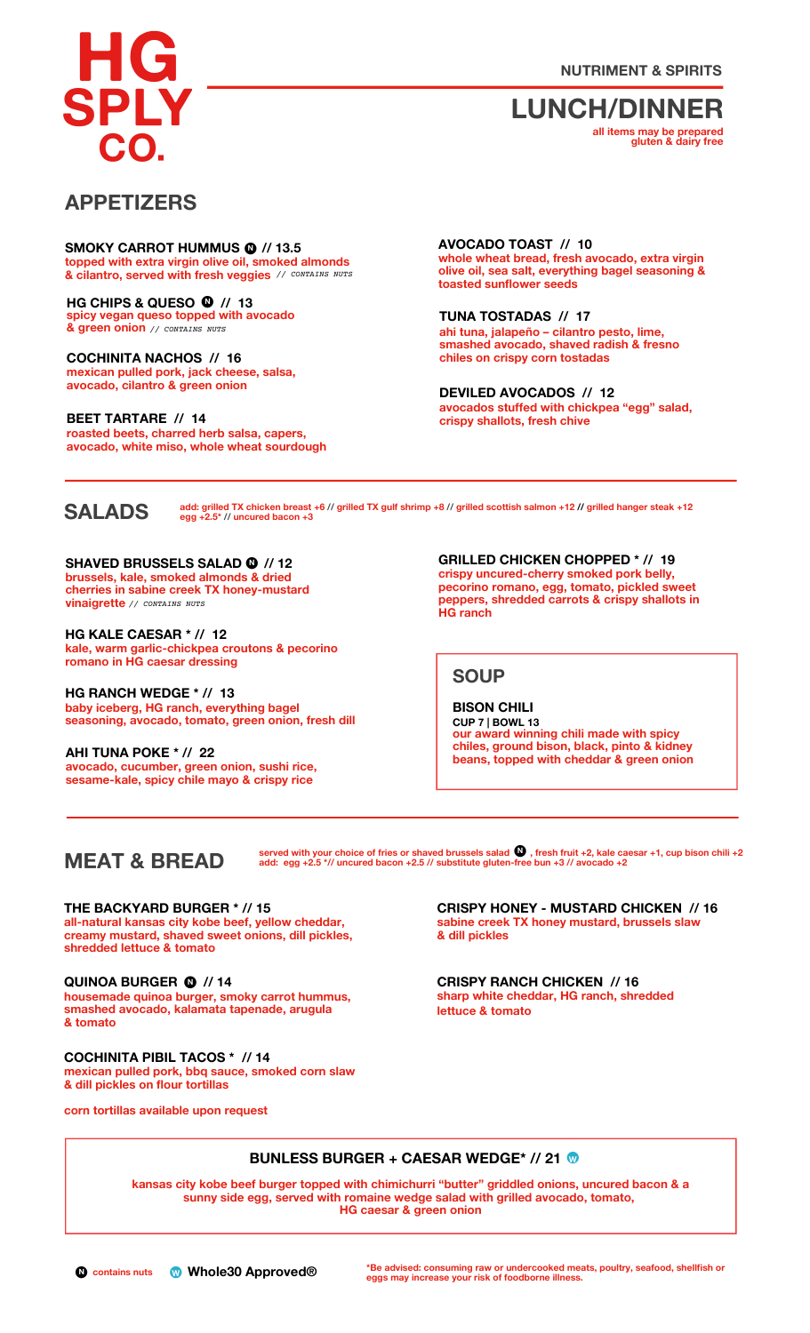G SPLY

**NUTRIMENT & SPIRITS**

**LUNCH/DINNER**

**all items may be prepared gluten & dairy free**

## **APPETIZERS**

**topped with extra virgin olive oil, smoked almonds • & cilantro, served with fresh veggies** *// CONTAINS NUTS* **SMOKY CARROT HUMMUS <sup>N</sup> // 13.5 N**

**• N spicy vegan queso topped with avocado & green onion** *// CONTAINS NUTS* **HG CHIPS & QUESO // 13**

**mexican pulled pork, jack cheese, salsa, avocado, cilantro & green onion COCHINITA NACHOS // 16**

**roasted beets, charred herb salsa, capers, avocado, white miso, whole wheat sourdough BEET TARTARE // 14**

**whole wheat bread, fresh avocado, extra virgin olive oil, sea salt, everything bagel seasoning & toasted sunflower seeds AVOCADO TOAST // 10**

**ahi tuna, jalapeño – cilantro pesto, lime, smashed avocado, shaved radish & fresno chiles on crispy corn tostadas TUNA TOSTADAS // 17**

**avocados stuffed with chickpea "egg" salad, crispy shallots, fresh chive DEVILED AVOCADOS // 12**

## **SALADS**

add: grilled TX chicken breast +6 // grilled TX gulf shrimp +8 // grilled scottish salmon +12 // grilled hanger steak +12<br>egg +2.5\* // uncured bacon +3

**N SHAVED BRUSSELS SALAD // 12 brussels, kale, smoked almonds & dried cherries in sabine creek TX honey-mustard vinaigrette** *// CONTAINS NUTS*

**kale, warm garlic-chickpea croutons & pecorino romano in HG caesar dressing HG KALE CAESAR \* // 12**

**baby iceberg, HG ranch, everything bagel seasoning, avocado, tomato, green onion, fresh dill HG RANCH WEDGE \* // 13**

**avocado, cucumber, green onion, sushi rice, sesame-kale, spicy chile mayo & crispy rice AHI TUNA POKE \* // 22**

**c**<br> **GRILLED** CHICKEN CHOPPED \* // 19<br> **GRILLED** CHICKEN CHOPPED \* // 19<br> **GRILLED** CHICKEN CHOPPED \* // 19 **pecorino romano, egg, tomato, pickled sweet peppers, shredded carrots & crispy shallots in HG ranch**

#### **SOUP**

**our award winning chili made with spicy chiles, ground bison, black, pinto & kidney beans, topped with cheddar & green onion BISON CHILI CUP 7 | BOWL 13**

## **MEAT & BREAD**

served with your choice of fries or shaved brussels salad  $\mathbf W$  , fresh fruit +2, kale caesar +1, cup bison chili +2 **add: egg +2.5 \*// uncured bacon +2.5 // substitute gluten-• free bun +3 // avocado +2 N**

**all-natural kansas city kobe beef, yellow cheddar, creamy mustard, shaved sweet onions, dill pickles, shredded lettuce & tomato THE BACKYARD BURGER \* // 15**

**• N QUINOA BURGER // 14 housemade quinoa burger, smoky carrot hummus, smashed avocado, kalamata tapenade, arugula & tomato**

**mexican pulled pork, bbq sauce, smoked corn slaw & dill pickles on flour tortillas COCHINITA PIBIL TACOS \* // 14**

**corn tortillas available upon request**

**sabine creek TX honey mustard, brussels slaw & dill pickles CRISPY HONEY - MUSTARD CHICKEN // 16**

**sharp white cheddar, HG ranch, shredded lettuce & tomato CRISPY RANCH CHICKEN // 16**

#### **BUNLESS BURGER <sup>+</sup> CAESAR WEDGE\* // <sup>21</sup> •<sup>W</sup>**

**kansas city kobe beef burger topped with chimichurri "butter" griddled onions, uncured bacon & a sunny side egg, served with romaine wedge salad with grilled avocado, tomato, HG caesar & green onion**